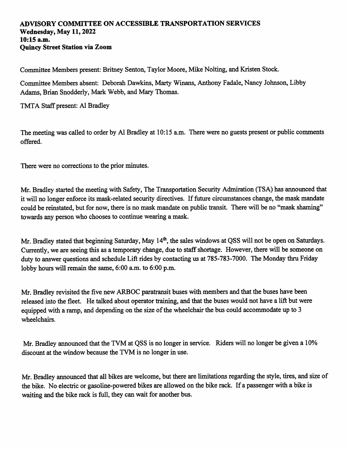## ADVISORY COMMITTEE ON ACCESSIBLE TRANSPORTATION SERVICES Wednesday, May 11,2022 10:15 a.m. Quincy Street Station via Zoom

Committee Members present: Britney Senton, Taylor Moore, Mike Nolting, and Kristen Stock.

Committee Members absent: Deborah Dawkins, Marty Winans, Anthony Fadale, Nancy Johnson, Libby Adams, Brian Snodderly, Mark Webb, and Mary Thomas.

TMTA Staff present: A1 Bradley

The meeting was called to order by A1 Bradley at 10:15 a.m. There were no guests present or public comments offered.

There were no corrections to the prior minutes.

Mr. Bradley started the meeting with Safety, The Transportation Security Admiration (TSA) has announced that it will no longer enforce its mask-related security directives. If future circumstances change, the mask mandate could be reinstated, but for now, there is no mask mandate on public transit. There will be no "mask shaming" towards any person who chooses to continue wearing a mask.

Mr. Bradley stated that beginning Saturday, May 14<sup>th</sup>, the sales windows at QSS will not be open on Saturdays. Currently, we are seeing this as a temporary change, due to staff shortage. However, there will be someone on duty to answer questions and schedule Lift rides by contacting us at 785-783-7000. The Monday thru Friday lobby hours will remain the same, 6:00 a.m. to 6:00 p.m.

Mr. Bradley revisited the five new ARBOC paratransit buses with members and that the buses have been released into the fleet. He talked about operator training, and that the buses would not have a lift but were equipped with a ramp, and depending on the size of the wheelchair the bus could accommodate up to 3 wheelchairs.

Mr. Bradley announced that the TVM at QSS is no longer in service. Riders will no longer be given a 10% discount at the window because the TVM is no longer in use.

Mr. Bradley announced that all bikes are welcome, but there are limitations regarding the style, tires, and size of the bike. No electric or gasoline-powered bikes are allowed on the bike rack. If a passenger with a bike is waiting and the bike rack is full, they can wait for another bus.